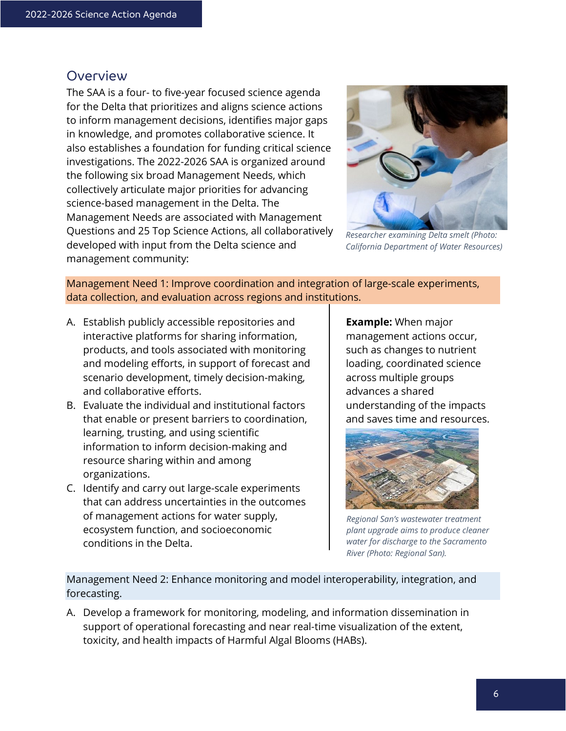## **Overview**

The SAA is a four- to five-year focused science agenda for the Delta that prioritizes and aligns science actions to inform management decisions, identifies major gaps in knowledge, and promotes collaborative science. It also establishes a foundation for funding critical science investigations. The 2022-2026 SAA is organized around the following six broad Management Needs, which collectively articulate major priorities for advancing science-based management in the Delta. The Management Needs are associated with Management Questions and 25 Top Science Actions, all collaboratively developed with input from the Delta science and management community:



*Researcher examining Delta smelt (Photo: California Department of Water Resources)* 

Management Need 1: Improve coordination and integration of large-scale experiments, data collection, and evaluation across regions and institutions.

- A. Establish publicly accessible repositories and interactive platforms for sharing information, products, and tools associated with monitoring and modeling efforts, in support of forecast and scenario development, timely decision-making, and collaborative efforts.
- B. Evaluate the individual and institutional factors that enable or present barriers to coordination, learning, trusting, and using scientific information to inform decision-making and resource sharing within and among organizations.
- C. Identify and carry out large-scale experiments that can address uncertainties in the outcomes of management actions for water supply, ecosystem function, and socioeconomic conditions in the Delta.

**Example:** When major management actions occur, such as changes to nutrient loading, coordinated science across multiple groups advances a shared understanding of the impacts and saves time and resources.



*Regional San's wastewater treatment plant upgrade aims to produce cleaner water for discharge to the Sacramento River (Photo: Regional San).*

Management Need 2: Enhance monitoring and model interoperability, integration, and forecasting.

A. Develop a framework for monitoring, modeling, and information dissemination in support of operational forecasting and near real-time visualization of the extent, toxicity, and health impacts of Harmful Algal Blooms (HABs).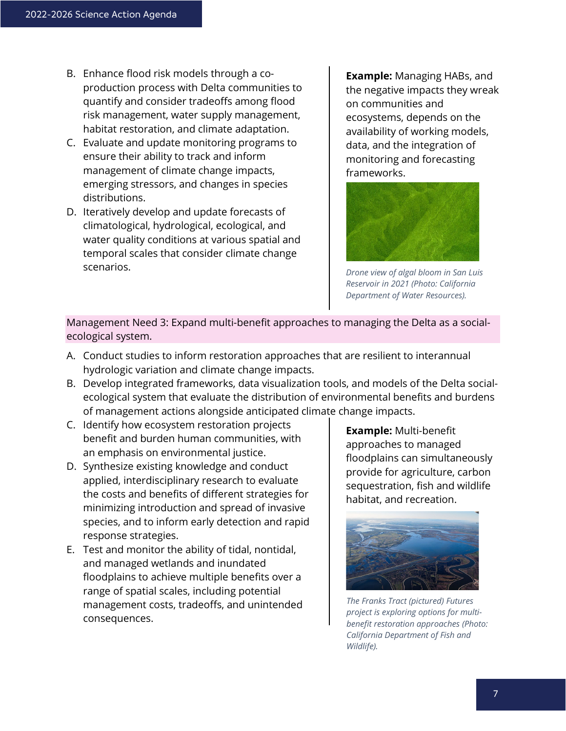- B. Enhance flood risk models through a coproduction process with Delta communities to quantify and consider tradeoffs among flood risk management, water supply management, habitat restoration, and climate adaptation.
- C. Evaluate and update monitoring programs to ensure their ability to track and inform management of climate change impacts, emerging stressors, and changes in species distributions.
- D. Iteratively develop and update forecasts of climatological, hydrological, ecological, and water quality conditions at various spatial and temporal scales that consider climate change scenarios.

**Example:** Managing HABs, and the negative impacts they wreak on communities and ecosystems, depends on the availability of working models, data, and the integration of monitoring and forecasting frameworks.



*Drone view of algal bloom in San Luis Reservoir in 2021 (Photo: California Department of Water Resources).*

Management Need 3: Expand multi-benefit approaches to managing the Delta as a socialecological system.

- A. Conduct studies to inform restoration approaches that are resilient to interannual hydrologic variation and climate change impacts.
- B. Develop integrated frameworks, data visualization tools, and models of the Delta socialecological system that evaluate the distribution of environmental benefits and burdens of management actions alongside anticipated climate change impacts.
- C. Identify how ecosystem restoration projects benefit and burden human communities, with an emphasis on environmental justice.
- D. Synthesize existing knowledge and conduct applied, interdisciplinary research to evaluate the costs and benefits of different strategies for minimizing introduction and spread of invasive species, and to inform early detection and rapid response strategies.
- E. Test and monitor the ability of tidal, nontidal, and managed wetlands and inundated floodplains to achieve multiple benefits over a range of spatial scales, including potential management costs, tradeoffs, and unintended consequences.

**Example:** Multi-benefit approaches to managed floodplains can simultaneously provide for agriculture, carbon sequestration, fish and wildlife habitat, and recreation.



*The Franks Tract (pictured) Futures project is exploring options for multibenefit restoration approaches (Photo: California Department of Fish and Wildlife).*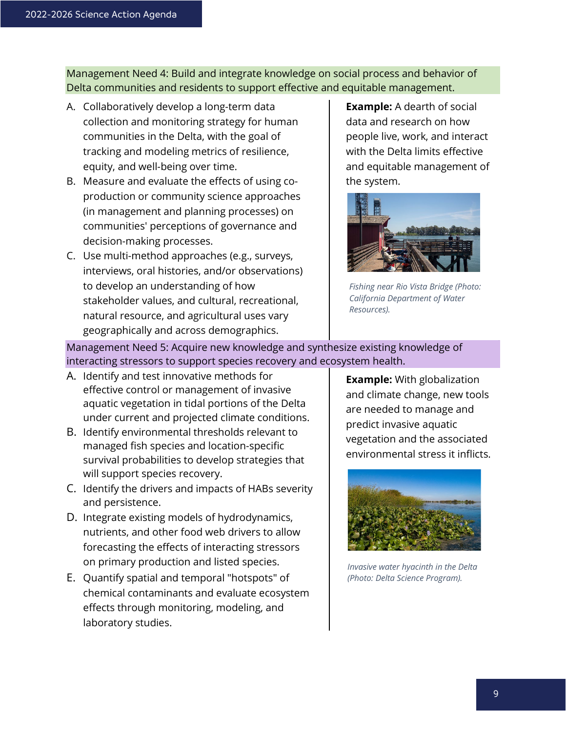Management Need 4: Build and integrate knowledge on social process and behavior of Delta communities and residents to support effective and equitable management.

- A. Collaboratively develop a long-term data collection and monitoring strategy for human communities in the Delta, with the goal of tracking and modeling metrics of resilience, equity, and well-being over time.
- B. Measure and evaluate the effects of using coproduction or community science approaches (in management and planning processes) on communities' perceptions of governance and decision-making processes.
- C. Use multi-method approaches (e.g., surveys, interviews, oral histories, and/or observations) to develop an understanding of how stakeholder values, and cultural, recreational, natural resource, and agricultural uses vary geographically and across demographics.

**Example:** A dearth of social data and research on how people live, work, and interact with the Delta limits effective and equitable management of the system.



*Fishing near Rio Vista Bridge (Photo: California Department of Water Resources).*

Management Need 5: Acquire new knowledge and synthesize existing knowledge of interacting stressors to support species recovery and ecosystem health.

- A. Identify and test innovative methods for effective control or management of invasive aquatic vegetation in tidal portions of the Delta under current and projected climate conditions.
- B. Identify environmental thresholds relevant to managed fish species and location-specific survival probabilities to develop strategies that will support species recovery.
- C. Identify the drivers and impacts of HABs severity and persistence.
- D. Integrate existing models of hydrodynamics, nutrients, and other food web drivers to allow forecasting the effects of interacting stressors on primary production and listed species.
- E. Quantify spatial and temporal "hotspots" of chemical contaminants and evaluate ecosystem effects through monitoring, modeling, and laboratory studies.

**Example:** With globalization and climate change, new tools are needed to manage and predict invasive aquatic vegetation and the associated environmental stress it inflicts.



*Invasive water hyacinth in the Delta (Photo: Delta Science Program).*